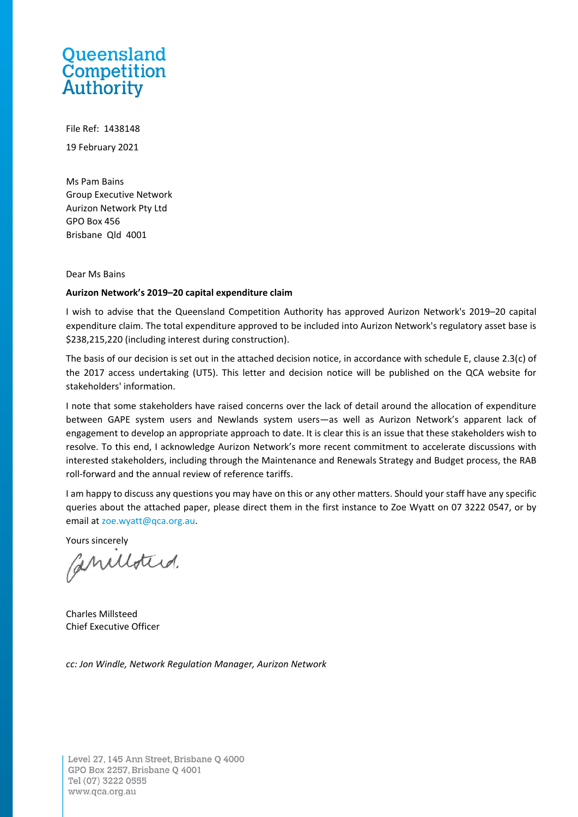# Queensland **Competition**<br>Authority

File Ref: 1438148 19 February 2021

Ms Pam Bains Group Executive Network Aurizon Network Pty Ltd GPO Box 456 Brisbane Qld 4001

Dear Ms Bains

#### **Aurizon Network's 2019–20 capital expenditure claim**

I wish to advise that the Queensland Competition Authority has approved Aurizon Network's 2019–20 capital expenditure claim. The total expenditure approved to be included into Aurizon Network's regulatory asset base is \$238,215,220 (including interest during construction).

The basis of our decision is set out in the attached decision notice, in accordance with schedule E, clause 2.3(c) of the 2017 access undertaking (UT5). This letter and decision notice will be published on the QCA website for stakeholders' information.

I note that some stakeholders have raised concerns over the lack of detail around the allocation of expenditure between GAPE system users and Newlands system users—as well as Aurizon Network's apparent lack of engagement to develop an appropriate approach to date. It is clear this is an issue that these stakeholders wish to resolve. To this end, I acknowledge Aurizon Network's more recent commitment to accelerate discussions with interested stakeholders, including through the Maintenance and Renewals Strategy and Budget process, the RAB roll-forward and the annual review of reference tariffs.

I am happy to discuss any questions you may have on this or any other matters. Should your staff have any specific queries about the attached paper, please direct them in the first instance to Zoe Wyatt on 07 3222 0547, or by email at [zoe.wyatt@qca.org.au.](mailto:zoe.wyatt@qca.org.au)

Yours sincerely

Canilloterd.

Charles Millsteed Chief Executive Officer

*cc: Jon Windle, Network Regulation Manager, Aurizon Network*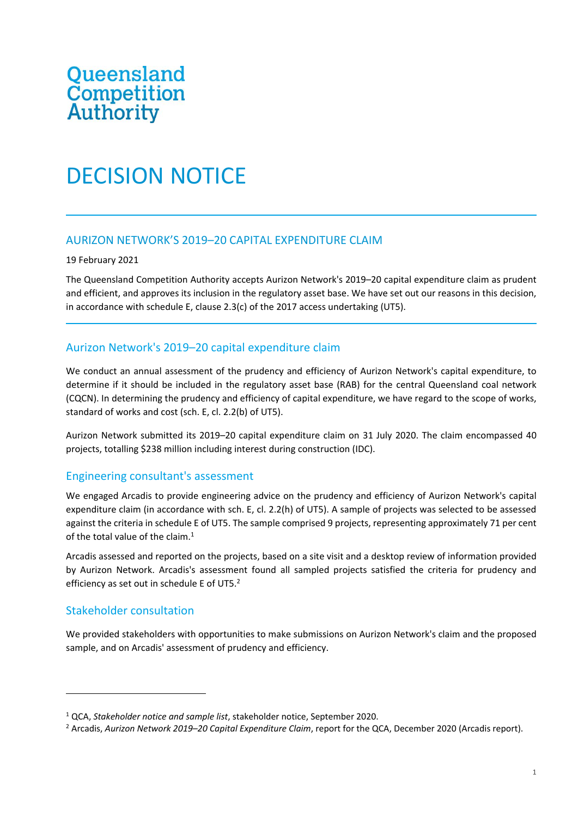# Queensland<br>Competition **Authority**

## DECISION NOTICE

### AURIZON NETWORK'S 2019–20 CAPITAL EXPENDITURE CLAIM

#### 19 February 2021

The Queensland Competition Authority accepts Aurizon Network's 2019–20 capital expenditure claim as prudent and efficient, and approves its inclusion in the regulatory asset base. We have set out our reasons in this decision, in accordance with schedule E, clause 2.3(c) of the 2017 access undertaking (UT5).

#### Aurizon Network's 2019–20 capital expenditure claim

We conduct an annual assessment of the prudency and efficiency of Aurizon Network's capital expenditure, to determine if it should be included in the regulatory asset base (RAB) for the central Queensland coal network (CQCN). In determining the prudency and efficiency of capital expenditure, we have regard to the scope of works, standard of works and cost (sch. E, cl. 2.2(b) of UT5).

Aurizon Network submitted its 2019–20 capital expenditure claim on 31 July 2020. The claim encompassed 40 projects, totalling \$238 million including interest during construction (IDC).

#### Engineering consultant's assessment

We engaged Arcadis to provide engineering advice on the prudency and efficiency of Aurizon Network's capital expenditure claim (in accordance with sch. E, cl. 2.2(h) of UT5). A sample of projects was selected to be assessed against the criteria in schedule E of UT5. The sample comprised 9 projects, representing approximately 71 per cent of the total value of the claim. $1$ 

Arcadis assessed and reported on the projects, based on a site visit and a desktop review of information provided by Aurizon Network. Arcadis's assessment found all sampled projects satisfied the criteria for prudency and efficiency as set out in schedule E of UT5.<sup>2</sup>

### Stakeholder consultation

We provided stakeholders with opportunities to make submissions on Aurizon Network's claim and the proposed sample, and on Arcadis' assessment of prudency and efficiency.

<sup>1</sup> QCA, *Stakeholder notice and sample list*, stakeholder notice, September 2020.

<sup>2</sup> Arcadis, *Aurizon Network 2019–20 Capital Expenditure Claim*, report for the QCA, December 2020 (Arcadis report).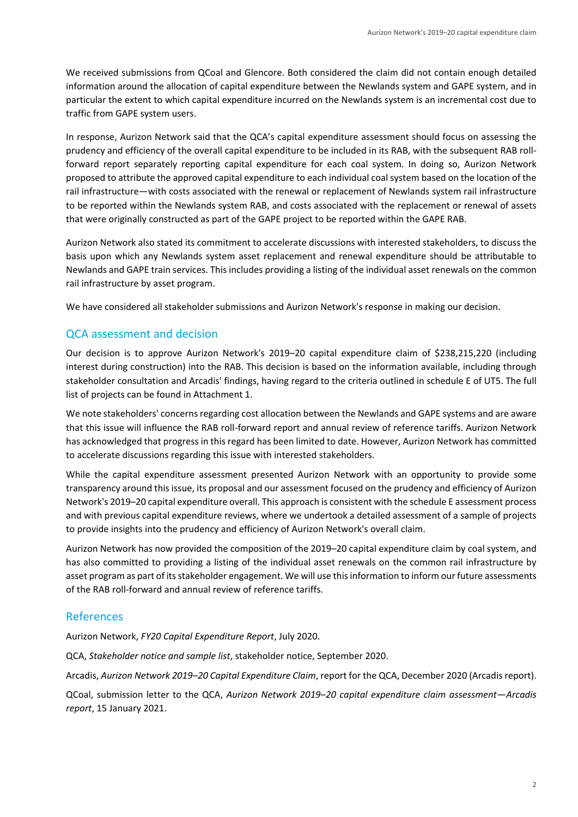We received submissions from QCoal and Glencore. Both considered the claim did not contain enough detailed information around the allocation of capital expenditure between the Newlands system and GAPE system, and in particular the extent to which capital expenditure incurred on the Newlands system is an incremental cost due to traffic from GAPE system users.

In response, Aurizon Network said that the QCA's capital expenditure assessment should focus on assessing the prudency and efficiency of the overall capital expenditure to be included in its RAB, with the subsequent RAB rollforward report separately reporting capital expenditure for each coal system. In doing so, Aurizon Network proposed to attribute the approved capital expenditure to each individual coal system based on the location of the rail infrastructure—with costs associated with the renewal or replacement of Newlands system rail infrastructure to be reported within the Newlands system RAB, and costs associated with the replacement or renewal of assets that were originally constructed as part of the GAPE project to be reported within the GAPE RAB.

Aurizon Network also stated its commitment to accelerate discussions with interested stakeholders, to discuss the basis upon which any Newlands system asset replacement and renewal expenditure should be attributable to Newlands and GAPE train services. This includes providing a listing of the individual asset renewals on the common rail infrastructure by asset program.

We have considered all stakeholder submissions and Aurizon Network's response in making our decision.

#### QCA assessment and decision

Our decision is to approve Aurizon Network's 2019–20 capital expenditure claim of \$238,215,220 (including interest during construction) into the RAB. This decision is based on the information available, including through stakeholder consultation and Arcadis' findings, having regard to the criteria outlined in schedule E of UT5. The full list of projects can be found in Attachment 1.

We note stakeholders' concerns regarding cost allocation between the Newlands and GAPE systems and are aware that this issue will influence the RAB roll-forward report and annual review of reference tariffs. Aurizon Network has acknowledged that progress in this regard has been limited to date. However, Aurizon Network has committed to accelerate discussions regarding this issue with interested stakeholders.

While the capital expenditure assessment presented Aurizon Network with an opportunity to provide some transparency around this issue, its proposal and our assessment focused on the prudency and efficiency of Aurizon Network's 2019–20 capital expenditure overall. This approach is consistent with the schedule E assessment process and with previous capital expenditure reviews, where we undertook a detailed assessment of a sample of projects to provide insights into the prudency and efficiency of Aurizon Network's overall claim.

Aurizon Network has now provided the composition of the 2019–20 capital expenditure claim by coal system, and has also committed to providing a listing of the individual asset renewals on the common rail infrastructure by asset program as part of its stakeholder engagement. We will use this information to inform our future assessments of the RAB roll-forward and annual review of reference tariffs.

#### References

Aurizon Network, *FY20 Capital Expenditure Report*, July 2020.

QCA, *Stakeholder notice and sample list*, stakeholder notice, September 2020.

Arcadis, *Aurizon Network 2019–20 Capital Expenditure Claim*, report for the QCA, December 2020 (Arcadis report).

QCoal, submission letter to the QCA, *Aurizon Network 2019‒20 capital expenditure claim assessment—Arcadis report*, 15 January 2021.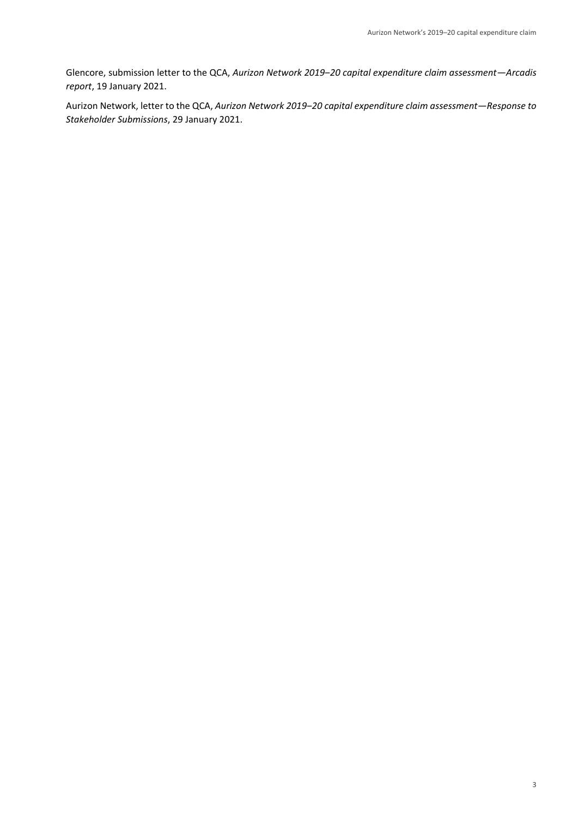Glencore, submission letter to the QCA, *Aurizon Network 2019‒20 capital expenditure claim assessment—Arcadis report*, 19 January 2021.

Aurizon Network, letter to the QCA, *Aurizon Network 2019‒20 capital expenditure claim assessment—Response to Stakeholder Submissions*, 29 January 2021.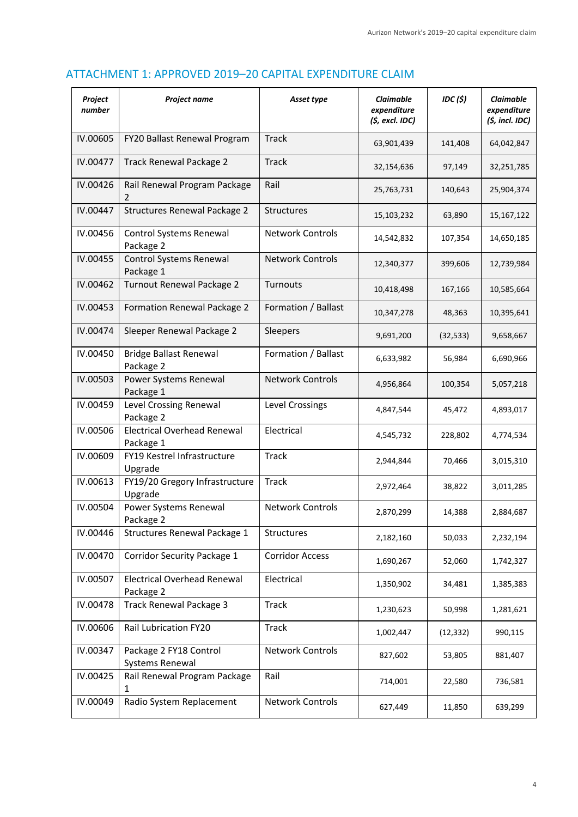## ATTACHMENT 1: APPROVED 2019–20 CAPITAL EXPENDITURE CLAIM

| Project<br>number | Project name                                    | Asset type              | Claimable<br>expenditure<br>(\$, excl. IDC) | IDC(S)    | Claimable<br>expenditure<br>$(5, incl.$ IDC) |
|-------------------|-------------------------------------------------|-------------------------|---------------------------------------------|-----------|----------------------------------------------|
| IV.00605          | FY20 Ballast Renewal Program                    | <b>Track</b>            | 63,901,439                                  | 141,408   | 64,042,847                                   |
| IV.00477          | <b>Track Renewal Package 2</b>                  | <b>Track</b>            | 32,154,636                                  | 97,149    | 32,251,785                                   |
| IV.00426          | Rail Renewal Program Package<br>2               | Rail                    | 25,763,731                                  | 140,643   | 25,904,374                                   |
| IV.00447          | Structures Renewal Package 2                    | Structures              | 15,103,232                                  | 63,890    | 15,167,122                                   |
| IV.00456          | Control Systems Renewal<br>Package 2            | <b>Network Controls</b> | 14,542,832                                  | 107,354   | 14,650,185                                   |
| IV.00455          | <b>Control Systems Renewal</b><br>Package 1     | <b>Network Controls</b> | 12,340,377                                  | 399,606   | 12,739,984                                   |
| IV.00462          | Turnout Renewal Package 2                       | Turnouts                | 10,418,498                                  | 167,166   | 10,585,664                                   |
| IV.00453          | Formation Renewal Package 2                     | Formation / Ballast     | 10,347,278                                  | 48,363    | 10,395,641                                   |
| IV.00474          | Sleeper Renewal Package 2                       | Sleepers                | 9,691,200                                   | (32, 533) | 9,658,667                                    |
| IV.00450          | <b>Bridge Ballast Renewal</b><br>Package 2      | Formation / Ballast     | 6,633,982                                   | 56,984    | 6,690,966                                    |
| IV.00503          | Power Systems Renewal<br>Package 1              | <b>Network Controls</b> | 4,956,864                                   | 100,354   | 5,057,218                                    |
| IV.00459          | Level Crossing Renewal<br>Package 2             | Level Crossings         | 4,847,544                                   | 45,472    | 4,893,017                                    |
| IV.00506          | <b>Electrical Overhead Renewal</b><br>Package 1 | Electrical              | 4,545,732                                   | 228,802   | 4,774,534                                    |
| IV.00609          | FY19 Kestrel Infrastructure<br>Upgrade          | <b>Track</b>            | 2,944,844                                   | 70,466    | 3,015,310                                    |
| IV.00613          | FY19/20 Gregory Infrastructure<br>Upgrade       | <b>Track</b>            | 2,972,464                                   | 38,822    | 3,011,285                                    |
| IV.00504          | Power Systems Renewal<br>Package 2              | <b>Network Controls</b> | 2,870,299                                   | 14,388    | 2,884,687                                    |
| IV.00446          | Structures Renewal Package 1                    | Structures              | 2,182,160                                   | 50,033    | 2,232,194                                    |
| IV.00470          | Corridor Security Package 1                     | <b>Corridor Access</b>  | 1,690,267                                   | 52,060    | 1,742,327                                    |
| IV.00507          | <b>Electrical Overhead Renewal</b><br>Package 2 | Electrical              | 1,350,902                                   | 34,481    | 1,385,383                                    |
| IV.00478          | <b>Track Renewal Package 3</b>                  | <b>Track</b>            | 1,230,623                                   | 50,998    | 1,281,621                                    |
| IV.00606          | Rail Lubrication FY20                           | <b>Track</b>            | 1,002,447                                   | (12, 332) | 990,115                                      |
| IV.00347          | Package 2 FY18 Control<br>Systems Renewal       | <b>Network Controls</b> | 827,602                                     | 53,805    | 881,407                                      |
| IV.00425          | Rail Renewal Program Package<br>1               | Rail                    | 714,001                                     | 22,580    | 736,581                                      |
| IV.00049          | Radio System Replacement                        | Network Controls        | 627,449                                     | 11,850    | 639,299                                      |